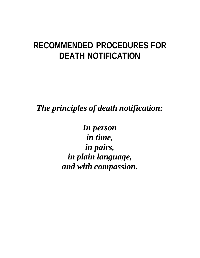# **RECOMMENDED PROCEDURES FOR DEATH NOTIFICATION**

*The principles of death notification:*

*In person in time, in pairs, in plain language, and with compassion.*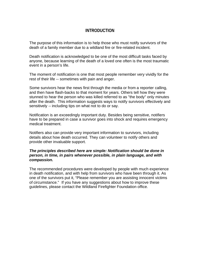# **INTRODUCTION**

The purpose of this information is to help those who must notify survivors of the death of a family member due to a wildland fire or fire-related incident.

Death notification is acknowledged to be one of the most difficult tasks faced by anyone, because learning of the death of a loved one often is the most traumatic event in a person's life.

The moment of notification is one that most people remember very vividly for the rest of their life -- sometimes with pain and anger.

Some survivors hear the news first through the media or from a reporter calling, and then have flash-backs to that moment for years. Others tell how they were stunned to hear the person who was killed referred to as "the body" only minutes after the death. This information suggests ways to notify survivors effectively and sensitively -- including tips on what not to do or say.

Notification is an exceedingly important duty. Besides being sensitive, notifiers have to be prepared in case a survivor goes into shock and requires emergency medical treatment.

Notifiers also can provide very important information to survivors, including details about how death occurred. They can volunteer to notify others and provide other invaluable support.

## *The principles described here are simple: Notification should be done in person, in time, in pairs whenever possible, in plain language, and with compassion.*

The recommended procedures were developed by people with much experience in death notification, and with help from survivors who have been through it. As one of the survivors put it, "Please remember you are assisting innocent victims of circumstance." If you have any suggestions about how to improve these guidelines, please contact the Wildland Firefighter Foundation office.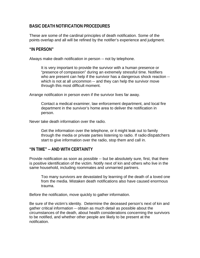# **BASIC DEATH NOTIFICATION PROCEDURES**

These are some of the cardinal principles of death notification. Some of the points overlap and all will be refined by the notifier's experience and judgment.

## **"IN PERSON"**

Always make death notification in person -- not by telephone.

It is very important to provide the survivor with a human presence or "presence of compassion" during an extremely stressful time. Notifiers who are present can help if the survivor has a dangerous shock reaction - which is not at all uncommon -- and they can help the survivor move through this most difficult moment.

Arrange notification in person even if the survivor lives far away.

Contact a medical examiner, law enforcement department, and local fire department in the survivor's home area to deliver the notification in person.

Never take death information over the radio.

Get the information over the telephone, or it might leak out to family through the media or private parties listening to radio. If radio dispatchers start to give information over the radio, stop them and call in.

## **"IN TIME" -- AND WITH CERTAINTY**

Provide notification as soon as possible -- but be absolutely sure, first, that there is positive identification of the victim. Notify next of kin and others who live in the same household, including roommates and unmarried partners.

Too many survivors are devastated by learning of the death of a loved one from the media. Mistaken death notifications also have caused enormous trauma.

Before the notification, move quickly to gather information.

Be sure of the victim's identity. Determine the deceased person's next of kin and gather critical information -- obtain as much detail as possible about the circumstances of the death, about health considerations concerning the survivors to be notified, and whether other people are likely to be present at the notification.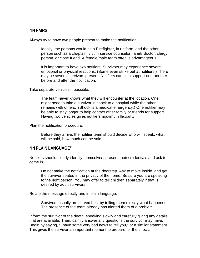## **"IN PAIRS"**

Always try to have two people present to make the notification.

Ideally, the persons would be a Firefighter, in uniform, and the other person such as a chaplain, victim service counselor, family doctor, clergy person, or close friend. A female/male team often is advantageous.

It is important to have two notifiers. Survivors may experience severe emotional or physical reactions. (Some even strike out at notifiers.) There may be several survivors present. Notifiers can also support one another before and after the notification.

Take separate vehicles if possible.

The team never knows what they will encounter at the location. One might need to take a survivor in shock to a hospital while the other remains with others. (Shock is a medical emergency.) One notifier may be able to stay longer to help contact other family or friends for support. Having two vehicles gives notifiers maximum flexibility.

Plan the notification procedure.

Before they arrive, the notifier team should decide who will speak, what will be said, how much can be said.

#### **"IN PLAIN LANGUAGE"**

Notifiers should clearly identify themselves, present their credentials and ask to come in.

Do not make the notification at the doorstep. Ask to move inside, and get the survivor seated in the privacy of the home. Be sure you are speaking to the right person. You may offer to tell children separately if that is desired by adult survivors.

Relate the message directly and in plain language.

Survivors usually are served best by telling them directly what happened. The presence of the team already has alerted them of a problem.

Inform the survivor of the death, speaking slowly and carefully giving any details that are available. Then, calmly answer any questions the survivor may have. Begin by saying, "I have some very bad news to tell you," or a similar statement. This gives the survivor an important moment to prepare for the shock.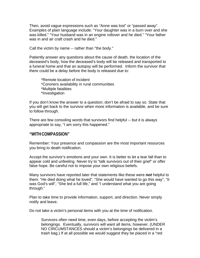Then, avoid vague expressions such as "Anne was lost" or "passed away". Examples of plain language include: "Your daughter was in a burn over and she was killed." "Your husband was in an engine rollover and he died." "Your father was in and air craft crash and he died."

Call the victim by name -- rather than "the body."

Patiently answer any questions about the cause of death, the location of the deceased's body, how the deceased's body will be released and transported to a funeral home and that an autopsy will be performed. Inform the survivor that there could be a delay before the body is released due to:

\*Remote location of incident \*Coroners availability in rural communities \*Multiple fatalities \*Investigation

If you don't know the answer to a question; don't be afraid to say so. State that you will get back to the survivor when more information is available, and be sure to follow through.

There are few consoling words that survivors find helpful -- but it is always appropriate to say, "I am sorry this happened."

#### **"WITH COMPASSION"**

Remember: Your presence and compassion are the most important resources you bring to death notification.

Accept the survivor's emotions and your own. It is better to let a tear fall than to appear cold and unfeeling. Never try to "talk survivors out of their grief" or offer false hope. Be careful not to impose your own religious beliefs.

Many survivors have reported later that statements like these were *not* helpful to them: "He died doing what he loved", "She would have wanted to go this way", "It was God's will", "She led a full life," and "I understand what you are going through."

Plan to take time to provide information, support, and direction. Never simply notify and leave.

Do not take a victim's personal items with you at the time of notification.

Survivors often need time, even days, before accepting the victim's belongings. Eventually, survivors will want all items, however. (UNDER NO CIRCUMSTANCES should a victim's belongings be delivered in a trash bag.) If at all possible we would suggest they be placed in a "red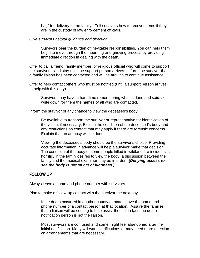bag" for delivery to the family. Tell survivors how to recover items if they are in the custody of law enforcement officials.

#### *Give survivors helpful guidance and direction.*

Survivors bear the burden of inevitable responsibilities. You can help them begin to move through the mourning and grieving process by providing immediate direction in dealing with the death.

Offer to call a friend, family member, or religious official who will come to support the survivor -- and stay until the support person arrives. Inform the survivor that a family liaison has been contacted and will be arriving to continue assistance.

Offer to help contact others who must be notified (until a support person arrives to help with this duty).

Survivors may have a hard time remembering what is done and said, so write down for them the names of all who are contacted.

Inform the survivor of any chance to view the deceased's body.

Be available to transport the survivor or representative for identification of the victim, if necessary. Explain the condition of the deceased's body and any restrictions on contact that may apply if there are forensic concerns. Explain that an autopsy will be done.

Viewing the deceased's body should be the survivor's choice. Providing accurate information in advance will help a survivor make that decision. The condition of the body of some people killed in wildland fire incidents is horrific. If the family desires to view the body, a discussion between the family and the medical examiner may be in order. *(Denying access to see the body is not an act of kindness.)*

## **FOLLOW UP**

Always leave a name and phone number with survivors.

Plan to make a follow-up contact with the survivor the next day.

If the death occurred in another county or state, leave the name and phone number of a contact person at that location. Assure the families that a liaison will be coming to help assist them, if in fact, the death notification person is not the liaison.

Most survivors are confused and some might feel abandoned after the initial notification. Many will want clarifications or may need more direction on arrangements that are necessary.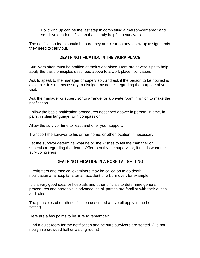Following up can be the last step in completing a "person-centered" and sensitive death notification that is truly helpful to survivors.

The notification team should be sure they are clear on any follow-up assignments they need to carry out.

# **DEATH NOTIFICATION IN THE WORK PLACE**

Survivors often must be notified at their work place. Here are several tips to help apply the basic principles described above to a work place notification:

Ask to speak to the manager or supervisor, and ask if the person to be notified is available. It is not necessary to divulge any details regarding the purpose of your visit.

Ask the manager or supervisor to arrange for a private room in which to make the notification.

Follow the basic notification procedures described above: in person, in time, in pairs, in plain language, with compassion.

Allow the survivor time to react and offer your support.

Transport the survivor to his or her home, or other location, if necessary.

Let the survivor determine what he or she wishes to tell the manager or supervisor regarding the death. Offer to notify the supervisor, if that is what the survivor prefers.

# **DEATH NOTIFICATION IN A HOSPITAL SETTING**

Firefighters and medical examiners may be called on to do death notification at a hospital after an accident or a burn over, for example.

It is a very good idea for hospitals and other officials to determine general procedures and protocols in advance, so all parties are familiar with their duties and roles.

The principles of death notification described above all apply in the hospital setting.

Here are a few points to be sure to remember:

Find a quiet room for the notification and be sure survivors are seated. (Do not notify in a crowded hall or waiting room.)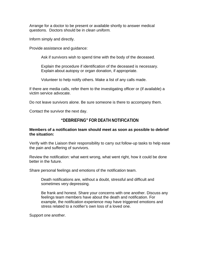Arrange for a doctor to be present or available shortly to answer medical questions. Doctors should be in *clean uniform.*

Inform simply and directly.

Provide assistance and guidance:

Ask if survivors wish to spend time with the body of the deceased.

Explain the procedure if identification of the deceased is necessary. Explain about autopsy or organ donation, if appropriate.

Volunteer to help notify others. Make a list of any calls made.

If there are media calls, refer them to the investigating officer or (if available) a victim service advocate.

Do not leave survivors alone. Be sure someone is there to accompany them.

Contact the survivor the next day.

# **"DEBRIEFING" FOR DEATH NOTIFICATION**

## **Members of a notification team should meet as soon as possible to debrief the situation:**

Verify with the Liaison their responsibility to carry out follow-up tasks to help ease the pain and suffering of survivors.

Review the notification: what went wrong, what went right, how it could be done better in the future.

Share personal feelings and emotions of the notification team.

Death notifications are, without a doubt, stressful and difficult and sometimes very depressing.

Be frank and honest. Share your concerns with one another. Discuss any feelings team members have about the death and notification. For example, the notification experience may have triggered emotions and stress related to a notifier's own loss of a loved one.

Support one another.